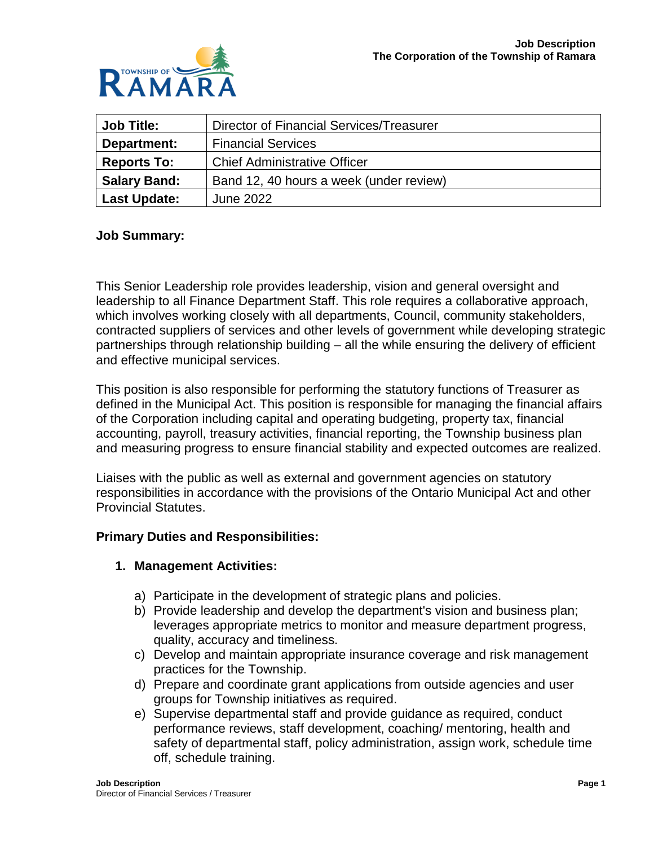

| <b>Job Title:</b>   | Director of Financial Services/Treasurer |
|---------------------|------------------------------------------|
| Department:         | <b>Financial Services</b>                |
| <b>Reports To:</b>  | <b>Chief Administrative Officer</b>      |
| <b>Salary Band:</b> | Band 12, 40 hours a week (under review)  |
| <b>Last Update:</b> | June 2022                                |

#### **Job Summary:**

This Senior Leadership role provides leadership, vision and general oversight and leadership to all Finance Department Staff. This role requires a collaborative approach, which involves working closely with all departments, Council, community stakeholders, contracted suppliers of services and other levels of government while developing strategic partnerships through relationship building – all the while ensuring the delivery of efficient and effective municipal services.

This position is also responsible for performing the statutory functions of Treasurer as defined in the Municipal Act. This position is responsible for managing the financial affairs of the Corporation including capital and operating budgeting, property tax, financial accounting, payroll, treasury activities, financial reporting, the Township business plan and measuring progress to ensure financial stability and expected outcomes are realized.

Liaises with the public as well as external and government agencies on statutory responsibilities in accordance with the provisions of the Ontario Municipal Act and other Provincial Statutes.

#### **Primary Duties and Responsibilities:**

#### **1. Management Activities:**

- a) Participate in the development of strategic plans and policies.
- b) Provide leadership and develop the department's vision and business plan; leverages appropriate metrics to monitor and measure department progress, quality, accuracy and timeliness.
- practices for the Township. c) Develop and maintain appropriate insurance coverage and risk management
- d) Prepare and coordinate grant applications from outside agencies and user groups for Township initiatives as required.
- e) Supervise departmental staff and provide guidance as required, conduct performance reviews, staff development, coaching/ mentoring, health and safety of departmental staff, policy administration, assign work, schedule time off, schedule training.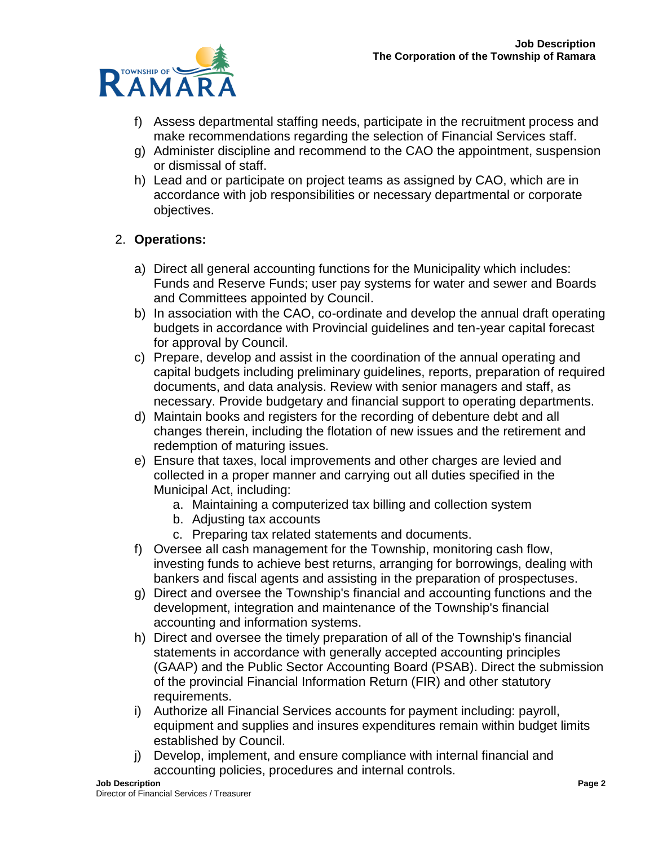

- f) Assess departmental staffing needs, participate in the recruitment process and make recommendations regarding the selection of Financial Services staff.
- g) Administer discipline and recommend to the CAO the appointment, suspension or dismissal of staff.
- h) Lead and or participate on project teams as assigned by CAO, which are in accordance with job responsibilities or necessary departmental or corporate objectives.

## 2. **Operations:**

- a) Direct all general accounting functions for the Municipality which includes: Funds and Reserve Funds; user pay systems for water and sewer and Boards and Committees appointed by Council.
- b) In association with the CAO, co-ordinate and develop the annual draft operating budgets in accordance with Provincial guidelines and ten-year capital forecast for approval by Council.
- documents, and data analysis. Review with senior managers and staff, as c) Prepare, develop and assist in the coordination of the annual operating and capital budgets including preliminary guidelines, reports, preparation of required necessary. Provide budgetary and financial support to operating departments.
- changes therein, including the flotation of new issues and the retirement and d) Maintain books and registers for the recording of debenture debt and all redemption of maturing issues.
- e) Ensure that taxes, local improvements and other charges are levied and collected in a proper manner and carrying out all duties specified in the Municipal Act, including:
	- a. Maintaining a computerized tax billing and collection system
	- b. Adjusting tax accounts
	- c. Preparing tax related statements and documents.
- f) Oversee all cash management for the Township, monitoring cash flow, bankers and fiscal agents and assisting in the preparation of prospectuses. investing funds to achieve best returns, arranging for borrowings, dealing with
- g) Direct and oversee the Township's financial and accounting functions and the development, integration and maintenance of the Township's financial accounting and information systems.
- h) Direct and oversee the timely preparation of all of the Township's financial (GAAP) and the Public Sector Accounting Board (PSAB). Direct the submission statements in accordance with generally accepted accounting principles of the provincial Financial Information Return (FIR) and other statutory requirements.
- i) Authorize all Financial Services accounts for payment including: payroll, equipment and supplies and insures expenditures remain within budget limits established by Council.
- j) Develop, implement, and ensure compliance with internal financial and accounting policies, procedures and internal controls.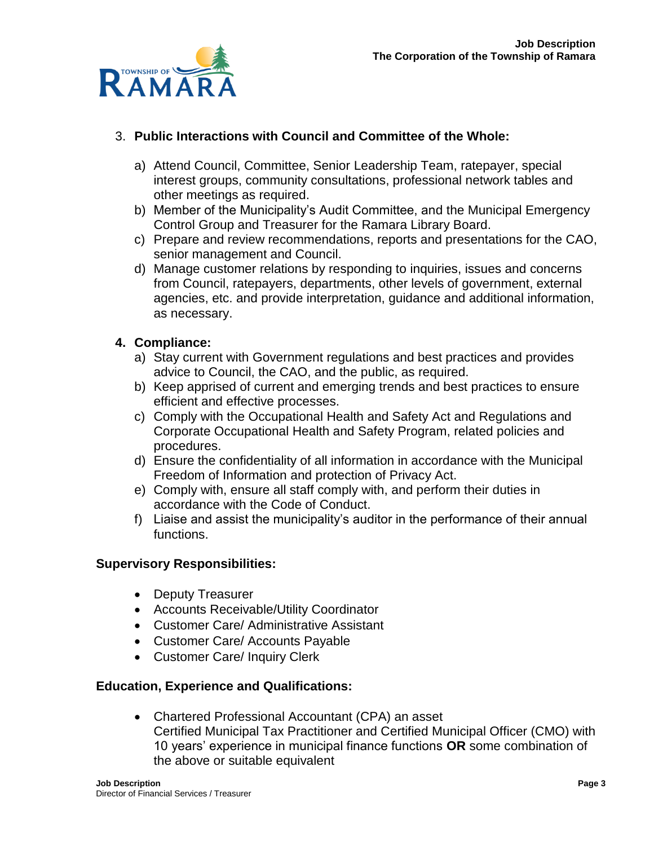

# 3. **Public Interactions with Council and Committee of the Whole:**

- a) Attend Council, Committee, Senior Leadership Team, ratepayer, special interest groups, community consultations, professional network tables and other meetings as required.
- b) Member of the Municipality's Audit Committee, and the Municipal Emergency Control Group and Treasurer for the Ramara Library Board.
- c) Prepare and review recommendations, reports and presentations for the CAO, senior management and Council.
- agencies, etc. and provide interpretation, guidance and additional information, d) Manage customer relations by responding to inquiries, issues and concerns from Council, ratepayers, departments, other levels of government, external as necessary.

## **4. Compliance:**

- a) Stay current with Government regulations and best practices and provides advice to Council, the CAO, and the public, as required.
- b) Keep apprised of current and emerging trends and best practices to ensure efficient and effective processes.
- c) Comply with the Occupational Health and Safety Act and Regulations and Corporate Occupational Health and Safety Program, related policies and procedures.
- d) Ensure the confidentiality of all information in accordance with the Municipal Freedom of Information and protection of Privacy Act.
- e) Comply with, ensure all staff comply with, and perform their duties in accordance with the Code of Conduct.
- f) Liaise and assist the municipality's auditor in the performance of their annual functions.

## **Supervisory Responsibilities:**

- Deputy Treasurer
- Accounts Receivable/Utility Coordinator
- Customer Care/ Administrative Assistant
- Customer Care/ Accounts Payable
- Customer Care/ Inquiry Clerk

## **Education, Experience and Qualifications:**

 Chartered Professional Accountant (CPA) an asset Certified Municipal Tax Practitioner and Certified Municipal Officer (CMO) with 10 years' experience in municipal finance functions **OR** some combination of the above or suitable equivalent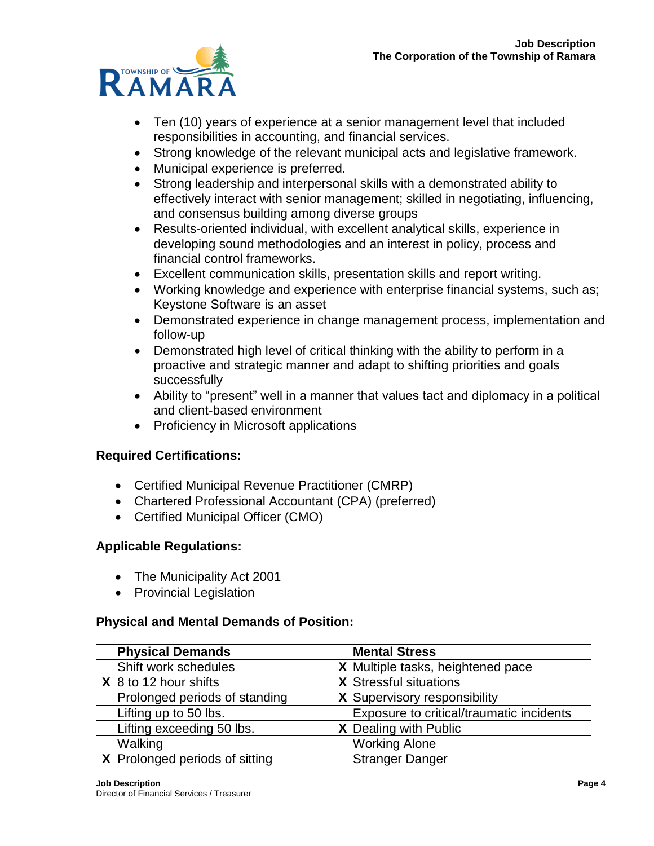

- Ten (10) years of experience at a senior management level that included responsibilities in accounting, and financial services.
- Strong knowledge of the relevant municipal acts and legislative framework.
- Municipal experience is preferred.
- Strong leadership and interpersonal skills with a demonstrated ability to effectively interact with senior management; skilled in negotiating, influencing, and consensus building among diverse groups
- Results-oriented individual, with excellent analytical skills, experience in developing sound methodologies and an interest in policy, process and financial control frameworks.
- Excellent communication skills, presentation skills and report writing.
- Working knowledge and experience with enterprise financial systems, such as; Keystone Software is an asset
- Demonstrated experience in change management process, implementation and follow-up
- Demonstrated high level of critical thinking with the ability to perform in a proactive and strategic manner and adapt to shifting priorities and goals successfully
- Ability to "present" well in a manner that values tact and diplomacy in a political and client-based environment
- Proficiency in Microsoft applications

## **Required Certifications:**

- Certified Municipal Revenue Practitioner (CMRP)
- Chartered Professional Accountant (CPA) (preferred)
- Certified Municipal Officer (CMO)

## **Applicable Regulations:**

- The Municipality Act 2001
- Provincial Legislation

#### **Physical and Mental Demands of Position:**

| <b>Physical Demands</b>          | <b>Mental Stress</b>                     |
|----------------------------------|------------------------------------------|
| Shift work schedules             | X Multiple tasks, heightened pace        |
| $\mathsf{X}$ 8 to 12 hour shifts | X Stressful situations                   |
| Prolonged periods of standing    | X Supervisory responsibility             |
| Lifting up to 50 lbs.            | Exposure to critical/traumatic incidents |
| Lifting exceeding 50 lbs.        | X Dealing with Public                    |
| Walking                          | <b>Working Alone</b>                     |
| X Prolonged periods of sitting   | <b>Stranger Danger</b>                   |